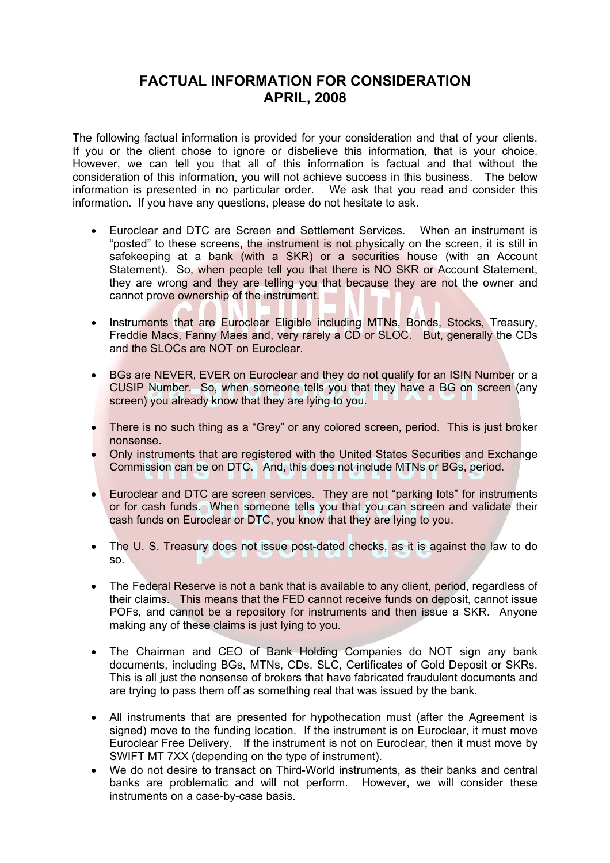## **FACTUAL INFORMATION FOR CONSIDERATION APRIL, 2008**

The following factual information is provided for your consideration and that of your clients. If you or the client chose to ignore or disbelieve this information, that is your choice. However, we can tell you that all of this information is factual and that without the consideration of this information, you will not achieve success in this business. The below information is presented in no particular order. We ask that you read and consider this information. If you have any questions, please do not hesitate to ask.

- Euroclear and DTC are Screen and Settlement Services. When an instrument is "posted" to these screens, the instrument is not physically on the screen, it is still in safekeeping at a bank (with a SKR) or a securities house (with an Account Statement). So, when people tell you that there is NO SKR or Account Statement, they are wrong and they are telling you that because they are not the owner and cannot prove ownership of the instrument.
- Instruments that are Euroclear Eligible including MTNs, Bonds, Stocks, Treasury, Freddie Macs, Fanny Maes and, very rarely a CD or SLOC. But, generally the CDs and the SLOCs are NOT on Euroclear.
- BGs are NEVER, EVER on Euroclear and they do not qualify for an ISIN Number or a CUSIP Number. So, when someone tells you that they have a BG on screen (any screen) you already know that they are lying to you.
- There is no such thing as a "Grey" or any colored screen, period. This is just broker nonsense.
- Only instruments that are registered with the United States Securities and Exchange Commission can be on DTC. And, this does not include MTNs or BGs, period.
- Euroclear and DTC are screen services. They are not "parking lots" for instruments or for cash funds. When someone tells you that you can screen and validate their cash funds on Euroclear or DTC, you know that they are lying to you.
- The U. S. Treasury does not issue post-dated checks, as it is against the law to do so.
- The Federal Reserve is not a bank that is available to any client, period, regardless of their claims. This means that the FED cannot receive funds on deposit, cannot issue POFs, and cannot be a repository for instruments and then issue a SKR. Anyone making any of these claims is just lying to you.
- The Chairman and CEO of Bank Holding Companies do NOT sign any bank documents, including BGs, MTNs, CDs, SLC, Certificates of Gold Deposit or SKRs. This is all just the nonsense of brokers that have fabricated fraudulent documents and are trying to pass them off as something real that was issued by the bank.
- All instruments that are presented for hypothecation must (after the Agreement is signed) move to the funding location. If the instrument is on Euroclear, it must move Euroclear Free Delivery. If the instrument is not on Euroclear, then it must move by SWIFT MT 7XX (depending on the type of instrument).
- We do not desire to transact on Third-World instruments, as their banks and central banks are problematic and will not perform. However, we will consider these instruments on a case-by-case basis.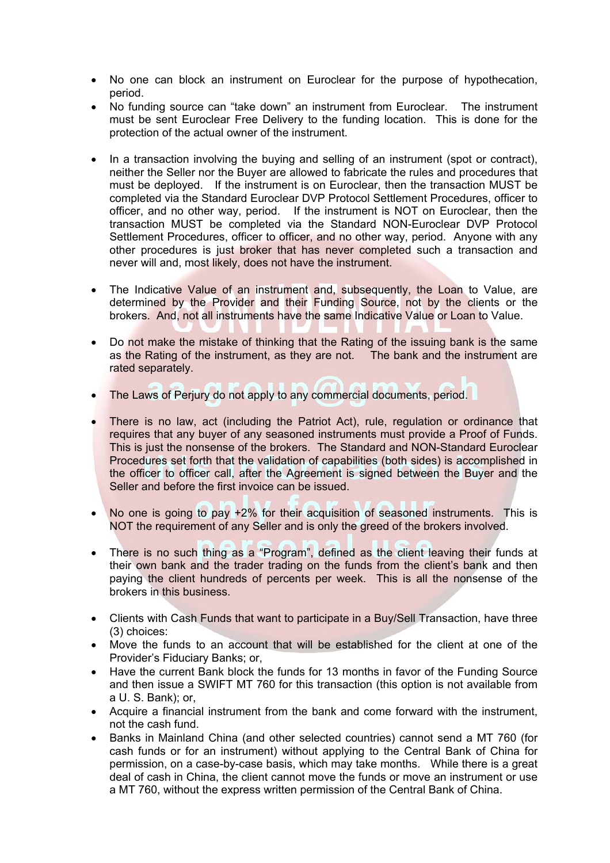- No one can block an instrument on Euroclear for the purpose of hypothecation, period.
- No funding source can "take down" an instrument from Euroclear. The instrument must be sent Euroclear Free Delivery to the funding location. This is done for the protection of the actual owner of the instrument.
- In a transaction involving the buying and selling of an instrument (spot or contract), neither the Seller nor the Buyer are allowed to fabricate the rules and procedures that must be deployed. If the instrument is on Euroclear, then the transaction MUST be completed via the Standard Euroclear DVP Protocol Settlement Procedures, officer to officer, and no other way, period. If the instrument is NOT on Euroclear, then the transaction MUST be completed via the Standard NON-Euroclear DVP Protocol Settlement Procedures, officer to officer, and no other way, period. Anyone with any other procedures is just broker that has never completed such a transaction and never will and, most likely, does not have the instrument.
- The Indicative Value of an instrument and, subsequently, the Loan to Value, are determined by the Provider and their Funding Source, not by the clients or the brokers. And, not all instruments have the same Indicative Value or Loan to Value.
- Do not make the mistake of thinking that the Rating of the issuing bank is the same as the Rating of the instrument, as they are not. The bank and the instrument are rated separately.
- The Laws of Perjury do not apply to any commercial documents, period.
- There is no law, act (including the Patriot Act), rule, regulation or ordinance that requires that any buyer of any seasoned instruments must provide a Proof of Funds. This is just the nonsense of the brokers. The Standard and NON-Standard Euroclear Procedures set forth that the validation of capabilities (both sides) is accomplished in the officer to officer call, after the Agreement is signed between the Buyer and the Seller and before the first invoice can be issued.
- No one is going to pay +2% for their acquisition of seasoned instruments. This is NOT the requirement of any Seller and is only the greed of the brokers involved.
- There is no such thing as a "Program", defined as the client leaving their funds at their own bank and the trader trading on the funds from the client's bank and then paying the client hundreds of percents per week. This is all the nonsense of the brokers in this business.
- Clients with Cash Funds that want to participate in a Buy/Sell Transaction, have three (3) choices:
- Move the funds to an account that will be established for the client at one of the Provider's Fiduciary Banks; or,
- Have the current Bank block the funds for 13 months in favor of the Funding Source and then issue a SWIFT MT 760 for this transaction (this option is not available from a U. S. Bank); or,
- Acquire a financial instrument from the bank and come forward with the instrument, not the cash fund.
- Banks in Mainland China (and other selected countries) cannot send a MT 760 (for cash funds or for an instrument) without applying to the Central Bank of China for permission, on a case-by-case basis, which may take months. While there is a great deal of cash in China, the client cannot move the funds or move an instrument or use a MT 760, without the express written permission of the Central Bank of China.